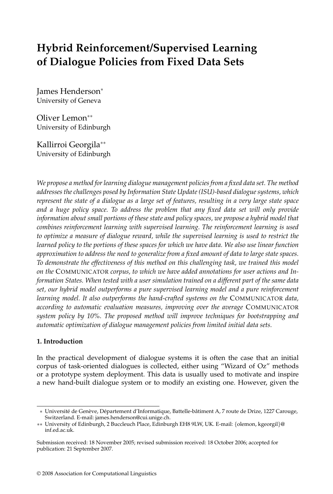# **Hybrid Reinforcement/Supervised Learning of Dialogue Policies from Fixed Data Sets**

James Henderson<sup>∗</sup> University of Geneva

Oliver Lemon∗∗ University of Edinburgh

Kallirroi Georgila∗∗ University of Edinburgh

*We propose a method for learning dialogue management policies from a fixed data set. The method addresses the challenges posed by Information State Update (ISU)-based dialogue systems, which represent the state of a dialogue as a large set of features, resulting in a very large state space and a huge policy space. To address the problem that any fixed data set will only provide information about small portions of these state and policy spaces, we propose a hybrid model that combines reinforcement learning with supervised learning. The reinforcement learning is used to optimize a measure of dialogue reward, while the supervised learning is used to restrict the learned policy to the portions of these spaces for which we have data. We also use linear function approximation to address the need to generalize from a fixed amount of data to large state spaces. To demonstrate the effectiveness of this method on this challenging task, we trained this model on the* COMMUNICATOR *corpus, to which we have added annotations for user actions and Information States. When tested with a user simulation trained on a different part of the same data set, our hybrid model outperforms a pure supervised learning model and a pure reinforcement learning model. It also outperforms the hand-crafted systems on the* COMMUNICATOR *data, according to automatic evaluation measures, improving over the average* COMMUNICATOR *system policy by 10%. The proposed method will improve techniques for bootstrapping and automatic optimization of dialogue management policies from limited initial data sets.*

# **1. Introduction**

In the practical development of dialogue systems it is often the case that an initial corpus of task-oriented dialogues is collected, either using "Wizard of Oz" methods or a prototype system deployment. This data is usually used to motivate and inspire a new hand-built dialogue system or to modify an existing one. However, given the

<sup>\*</sup> Université de Genève, Département d'Informatique, Battelle-bâtiment A, 7 route de Drize, 1227 Carouge, Switzerland. E-mail: james.henderson@cui.unige.ch.

<sup>∗∗</sup> University of Edinburgh, 2 Buccleuch Place, Edinburgh EH8 9LW, UK. E-mail: {olemon, kgeorgil}@ inf.ed.ac.uk.

Submission received: 18 November 2005; revised submission received: 18 October 2006; accepted for publication: 21 September 2007.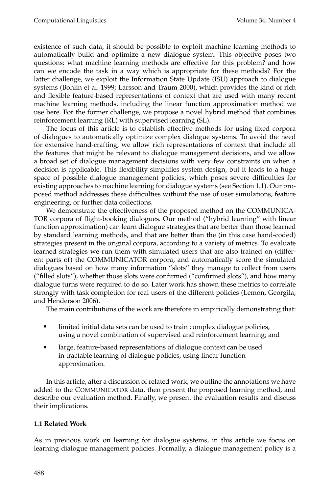existence of such data, it should be possible to exploit machine learning methods to automatically build and optimize a new dialogue system. This objective poses two questions: what machine learning methods are effective for this problem? and how can we encode the task in a way which is appropriate for these methods? For the latter challenge, we exploit the Information State Update (ISU) approach to dialogue systems (Bohlin et al. 1999; Larsson and Traum 2000), which provides the kind of rich and flexible feature-based representations of context that are used with many recent machine learning methods, including the linear function approximation method we use here. For the former challenge, we propose a novel hybrid method that combines reinforcement learning (RL) with supervised learning (SL).

The focus of this article is to establish effective methods for using fixed corpora of dialogues to automatically optimize complex dialogue systems. To avoid the need for extensive hand-crafting, we allow rich representations of context that include all the features that might be relevant to dialogue management decisions, and we allow a broad set of dialogue management decisions with very few constraints on when a decision is applicable. This flexibility simplifies system design, but it leads to a huge space of possible dialogue management policies, which poses severe difficulties for existing approaches to machine learning for dialogue systems (see Section 1.1). Our proposed method addresses these difficulties without the use of user simulations, feature engineering, or further data collections.

We demonstrate the effectiveness of the proposed method on the COMMUNICA-TOR corpora of flight-booking dialogues. Our method ("hybrid learning" with linear function approximation) can learn dialogue strategies that are better than those learned by standard learning methods, and that are better than the (in this case hand-coded) strategies present in the original corpora, according to a variety of metrics. To evaluate learned strategies we run them with simulated users that are also trained on (different parts of) the COMMUNICATOR corpora, and automatically score the simulated dialogues based on how many information "slots" they manage to collect from users ("filled slots"), whether those slots were confirmed ("confirmed slots"), and how many dialogue turns were required to do so. Later work has shown these metrics to correlate strongly with task completion for real users of the different policies (Lemon, Georgila, and Henderson 2006).

The main contributions of the work are therefore in empirically demonstrating that:

- limited initial data sets can be used to train complex dialogue policies, using a novel combination of supervised and reinforcement learning; and
- large, feature-based representations of dialogue context can be used in tractable learning of dialogue policies, using linear function approximation.

In this article, after a discussion of related work, we outline the annotations we have added to the COMMUNICATOR data, then present the proposed learning method, and describe our evaluation method. Finally, we present the evaluation results and discuss their implications.

# **1.1 Related Work**

As in previous work on learning for dialogue systems, in this article we focus on learning dialogue management policies. Formally, a dialogue management policy is a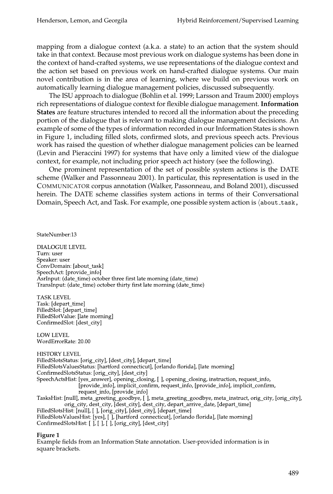mapping from a dialogue context (a.k.a. a state) to an action that the system should take in that context. Because most previous work on dialogue systems has been done in the context of hand-crafted systems, we use representations of the dialogue context and the action set based on previous work on hand-crafted dialogue systems. Our main novel contribution is in the area of learning, where we build on previous work on automatically learning dialogue management policies, discussed subsequently.

The ISU approach to dialogue (Bohlin et al. 1999; Larsson and Traum 2000) employs rich representations of dialogue context for flexible dialogue management. **Information States** are feature structures intended to record all the information about the preceding portion of the dialogue that is relevant to making dialogue management decisions. An example of some of the types of information recorded in our Information States is shown in Figure 1, including filled slots, confirmed slots, and previous speech acts. Previous work has raised the question of whether dialogue management policies can be learned (Levin and Pieraccini 1997) for systems that have only a limited view of the dialogue context, for example, not including prior speech act history (see the following).

One prominent representation of the set of possible system actions is the DATE scheme (Walker and Passonneau 2001). In particular, this representation is used in the COMMUNICATOR corpus annotation (Walker, Passonneau, and Boland 2001), discussed herein. The DATE scheme classifies system actions in terms of their Conversational Domain, Speech Act, and Task. For example, one possible system action is  $\langle$ about\_task,

StateNumber:13

**DIALOGUE LEVEL** Turn: user Speaker: user ConvDomain: [about\_task] SpeechAct: [provide\_info] AsrInput: (date\_time) october three first late morning (date\_time) TransInput: (date\_time) october thirty first late morning (date\_time)

TASK LEVEL Task: [depart\_time] FilledSlot: [depart\_time] FilledSlotValue: [late morning] ConfirmedSlot: [dest\_city]

**LOW LEVEL** WordErrorRate: 20.00

**HISTORY LEVEL** FilledSlotsStatus: [orig\_city], [dest\_city], [depart\_time] FilledSlotsValuesStatus: [hartford connecticut], [orlando florida], [late morning] ConfirmedSlotsStatus: [orig\_city], [dest\_city] SpeechActsHist: [yes\_answer], opening\_closing, [], opening\_closing, instruction, request\_info, [provide\_info], implicit\_confirm, request\_info, [provide\_info], implicit\_confirm, request\_info, [provide\_info] TasksHist: [null], meta\_greeting\_goodbye, [], meta\_greeting\_goodbye, meta\_instruct, orig\_city, [orig\_city], orig\_city, dest\_city, [dest\_city], dest\_city, depart\_arrive\_date, [depart\_time] FilledSlotsHist: [null], [ ], [orig\_city], [dest\_city], [depart\_time] FilledSlotsValuesHist: [yes], [], [hartford connecticut], [orlando florida], [late morning] ConfirmedSlotsHist: [ ], [ ], [ ], [orig\_city], [dest\_city]

#### **Figure 1**

Example fields from an Information State annotation. User-provided information is in square brackets.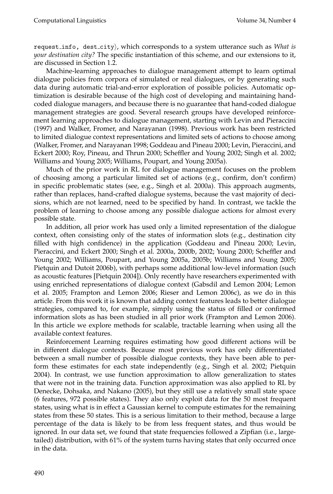request info, dest city, which corresponds to a system utterance such as *What is your destination city?* The specific instantiation of this scheme, and our extensions to it, are discussed in Section 1.2.

Machine-learning approaches to dialogue management attempt to learn optimal dialogue policies from corpora of simulated or real dialogues, or by generating such data during automatic trial-and-error exploration of possible policies. Automatic optimization is desirable because of the high cost of developing and maintaining handcoded dialogue managers, and because there is no guarantee that hand-coded dialogue management strategies are good. Several research groups have developed reinforcement learning approaches to dialogue management, starting with Levin and Pieraccini (1997) and Walker, Fromer, and Narayanan (1998). Previous work has been restricted to limited dialogue context representations and limited sets of actions to choose among (Walker, Fromer, and Narayanan 1998; Goddeau and Pineau 2000; Levin, Pieraccini, and Eckert 2000; Roy, Pineau, and Thrun 2000; Scheffler and Young 2002; Singh et al. 2002; Williams and Young 2005; Williams, Poupart, and Young 2005a).

Much of the prior work in RL for dialogue management focuses on the problem of choosing among a particular limited set of actions (e.g., confirm, don't confirm) in specific problematic states (see, e.g., Singh et al. 2000a). This approach augments, rather than replaces, hand-crafted dialogue systems, because the vast majority of decisions, which are not learned, need to be specified by hand. In contrast, we tackle the problem of learning to choose among any possible dialogue actions for almost every possible state.

In addition, all prior work has used only a limited representation of the dialogue context, often consisting only of the states of information slots (e.g., destination city filled with high confidence) in the application (Goddeau and Pineau 2000; Levin, Pieraccini, and Eckert 2000; Singh et al. 2000a, 2000b, 2002; Young 2000; Scheffler and Young 2002; Williams, Poupart, and Young 2005a, 2005b; Williams and Young 2005; Pietquin and Dutoit 2006b), with perhaps some additional low-level information (such as acoustic features [Pietquin 2004]). Only recently have researchers experimented with using enriched representations of dialogue context (Gabsdil and Lemon 2004; Lemon et al. 2005; Frampton and Lemon 2006; Rieser and Lemon 2006c), as we do in this article. From this work it is known that adding context features leads to better dialogue strategies, compared to, for example, simply using the status of filled or confirmed information slots as has been studied in all prior work (Frampton and Lemon 2006). In this article we explore methods for scalable, tractable learning when using all the available context features.

Reinforcement Learning requires estimating how good different actions will be in different dialogue contexts. Because most previous work has only differentiated between a small number of possible dialogue contexts, they have been able to perform these estimates for each state independently (e.g., Singh et al. 2002; Pietquin 2004). In contrast, we use function approximation to allow generalization to states that were not in the training data. Function approximation was also applied to RL by Denecke, Dohsaka, and Nakano (2005), but they still use a relatively small state space (6 features, 972 possible states). They also only exploit data for the 50 most frequent states, using what is in effect a Gaussian kernel to compute estimates for the remaining states from these 50 states. This is a serious limitation to their method, because a large percentage of the data is likely to be from less frequent states, and thus would be ignored. In our data set, we found that state frequencies followed a Zipfian (i.e., largetailed) distribution, with 61% of the system turns having states that only occurred once in the data.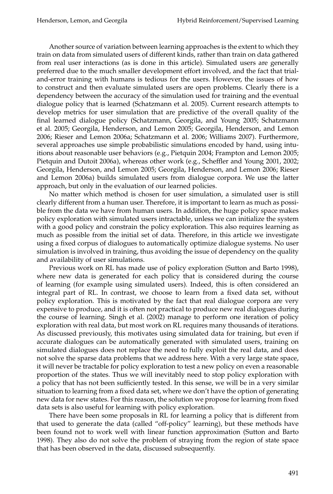Another source of variation between learning approaches is the extent to which they train on data from simulated users of different kinds, rather than train on data gathered from real user interactions (as is done in this article). Simulated users are generally preferred due to the much smaller development effort involved, and the fact that trialand-error training with humans is tedious for the users. However, the issues of how to construct and then evaluate simulated users are open problems. Clearly there is a dependency between the accuracy of the simulation used for training and the eventual dialogue policy that is learned (Schatzmann et al. 2005). Current research attempts to develop metrics for user simulation that are predictive of the overall quality of the final learned dialogue policy (Schatzmann, Georgila, and Young 2005; Schatzmann et al. 2005; Georgila, Henderson, and Lemon 2005; Georgila, Henderson, and Lemon 2006; Rieser and Lemon 2006a; Schatzmann et al. 2006; Williams 2007). Furthermore, several approaches use simple probabilistic simulations encoded by hand, using intuitions about reasonable user behaviors (e.g., Pietquin 2004; Frampton and Lemon 2005; Pietquin and Dutoit 2006a), whereas other work (e.g., Scheffler and Young 2001, 2002; Georgila, Henderson, and Lemon 2005; Georgila, Henderson, and Lemon 2006; Rieser and Lemon 2006a) builds simulated users from dialogue corpora. We use the latter approach, but only in the evaluation of our learned policies.

No matter which method is chosen for user simulation, a simulated user is still clearly different from a human user. Therefore, it is important to learn as much as possible from the data we have from human users. In addition, the huge policy space makes policy exploration with simulated users intractable, unless we can initialize the system with a good policy and constrain the policy exploration. This also requires learning as much as possible from the initial set of data. Therefore, in this article we investigate using a fixed corpus of dialogues to automatically optimize dialogue systems. No user simulation is involved in training, thus avoiding the issue of dependency on the quality and availability of user simulations.

Previous work on RL has made use of policy exploration (Sutton and Barto 1998), where new data is generated for each policy that is considered during the course of learning (for example using simulated users). Indeed, this is often considered an integral part of RL. In contrast, we choose to learn from a fixed data set, without policy exploration. This is motivated by the fact that real dialogue corpora are very expensive to produce, and it is often not practical to produce new real dialogues during the course of learning. Singh et al. (2002) manage to perform one iteration of policy exploration with real data, but most work on RL requires many thousands of iterations. As discussed previously, this motivates using simulated data for training, but even if accurate dialogues can be automatically generated with simulated users, training on simulated dialogues does not replace the need to fully exploit the real data, and does not solve the sparse data problems that we address here. With a very large state space, it will never be tractable for policy exploration to test a new policy on even a reasonable proportion of the states. Thus we will inevitably need to stop policy exploration with a policy that has not been sufficiently tested. In this sense, we will be in a very similar situation to learning from a fixed data set, where we don't have the option of generating new data for new states. For this reason, the solution we propose for learning from fixed data sets is also useful for learning with policy exploration.

There have been some proposals in RL for learning a policy that is different from that used to generate the data (called "off-policy" learning), but these methods have been found not to work well with linear function approximation (Sutton and Barto 1998). They also do not solve the problem of straying from the region of state space that has been observed in the data, discussed subsequently.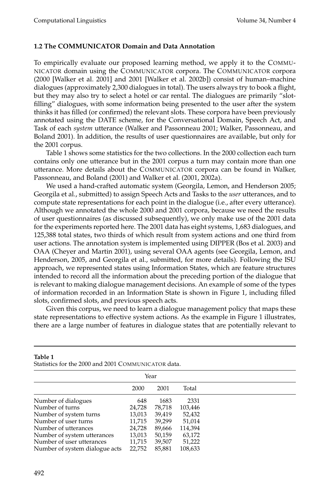# **1.2 The COMMUNICATOR Domain and Data Annotation**

To empirically evaluate our proposed learning method, we apply it to the COMMU-NICATOR domain using the COMMUNICATOR corpora. The COMMUNICATOR corpora (2000 [Walker et al. 2001] and 2001 [Walker et al. 2002b]) consist of human–machine dialogues (approximately 2,300 dialogues in total). The users always try to book a flight, but they may also try to select a hotel or car rental. The dialogues are primarily "slotfilling" dialogues, with some information being presented to the user after the system thinks it has filled (or confirmed) the relevant slots. These corpora have been previously annotated using the DATE scheme, for the Conversational Domain, Speech Act, and Task of each *system* utterance (Walker and Passonneau 2001; Walker, Passonneau, and Boland 2001). In addition, the results of user questionnaires are available, but only for the 2001 corpus.

Table 1 shows some statistics for the two collections. In the 2000 collection each turn contains only one utterance but in the 2001 corpus a turn may contain more than one utterance. More details about the COMMUNICATOR corpora can be found in Walker, Passonneau, and Boland (2001) and Walker et al. (2001, 2002a).

We used a hand-crafted automatic system (Georgila, Lemon, and Henderson 2005; Georgila et al., submitted) to assign Speech Acts and Tasks to the *user* utterances, and to compute state representations for each point in the dialogue (i.e., after every utterance). Although we annotated the whole 2000 and 2001 corpora, because we need the results of user questionnaires (as discussed subsequently), we only make use of the 2001 data for the experiments reported here. The 2001 data has eight systems, 1,683 dialogues, and 125,388 total states, two thirds of which result from system actions and one third from user actions. The annotation system is implemented using DIPPER (Bos et al. 2003) and OAA (Cheyer and Martin 2001), using several OAA agents (see Georgila, Lemon, and Henderson, 2005, and Georgila et al., submitted, for more details). Following the ISU approach, we represented states using Information States, which are feature structures intended to record all the information about the preceding portion of the dialogue that is relevant to making dialogue management decisions. An example of some of the types of information recorded in an Information State is shown in Figure 1, including filled slots, confirmed slots, and previous speech acts.

Given this corpus, we need to learn a dialogue management policy that maps these state representations to effective system actions. As the example in Figure 1 illustrates, there are a large number of features in dialogue states that are potentially relevant to

| Statistics for the 2000 and 2001 COMMUNICATOR data. |        |        |         |  |  |  |  |  |
|-----------------------------------------------------|--------|--------|---------|--|--|--|--|--|
|                                                     |        | Year   |         |  |  |  |  |  |
|                                                     | 2000   | 2001   | Total   |  |  |  |  |  |
| Number of dialogues                                 | 648    | 1683   | 2331    |  |  |  |  |  |
| Number of turns                                     | 24,728 | 78,718 | 103,446 |  |  |  |  |  |
| Number of system turns                              | 13,013 | 39.419 | 52,432  |  |  |  |  |  |
| Number of user turns                                | 11,715 | 39,299 | 51,014  |  |  |  |  |  |
| Number of utterances                                | 24,728 | 89,666 | 114,394 |  |  |  |  |  |
| Number of system utterances                         | 13,013 | 50,159 | 63,172  |  |  |  |  |  |
| Number of user utterances                           | 11,715 | 39,507 | 51,222  |  |  |  |  |  |
| Number of system dialogue acts                      | 22,752 | 85,881 | 108,633 |  |  |  |  |  |

**Table 1** Statistics for the 2000 and 2001 COMMUNICATOR data.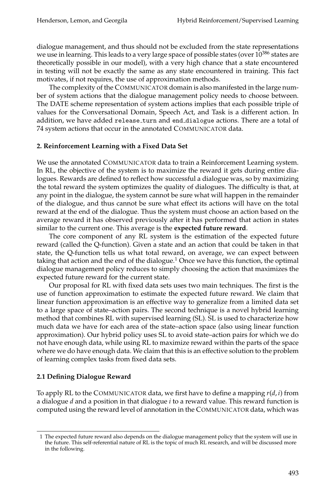dialogue management, and thus should not be excluded from the state representations we use in learning. This leads to a very large space of possible states (over  $10^{386}$  states are theoretically possible in our model), with a very high chance that a state encountered in testing will not be exactly the same as any state encountered in training. This fact motivates, if not requires, the use of approximation methods.

The complexity of the COMMUNICATOR domain is also manifested in the large number of system actions that the dialogue management policy needs to choose between. The DATE scheme representation of system actions implies that each possible triple of values for the Conversational Domain, Speech Act, and Task is a different action. In addition, we have added release turn and end dialogue actions. There are a total of 74 system actions that occur in the annotated COMMUNICATOR data.

### **2. Reinforcement Learning with a Fixed Data Set**

We use the annotated COMMUNICATOR data to train a Reinforcement Learning system. In RL, the objective of the system is to maximize the reward it gets during entire dialogues. Rewards are defined to reflect how successful a dialogue was, so by maximizing the total reward the system optimizes the quality of dialogues. The difficulty is that, at any point in the dialogue, the system cannot be sure what will happen in the remainder of the dialogue, and thus cannot be sure what effect its actions will have on the total reward at the end of the dialogue. Thus the system must choose an action based on the average reward it has observed previously after it has performed that action in states similar to the current one. This average is the **expected future reward**.

The core component of any RL system is the estimation of the expected future reward (called the Q-function). Given a state and an action that could be taken in that state, the Q-function tells us what total reward, on average, we can expect between taking that action and the end of the dialogue.<sup>1</sup> Once we have this function, the optimal dialogue management policy reduces to simply choosing the action that maximizes the expected future reward for the current state.

Our proposal for RL with fixed data sets uses two main techniques. The first is the use of function approximation to estimate the expected future reward. We claim that linear function approximation is an effective way to generalize from a limited data set to a large space of state–action pairs. The second technique is a novel hybrid learning method that combines RL with supervised learning (SL). SL is used to characterize how much data we have for each area of the state–action space (also using linear function approximation). Our hybrid policy uses SL to avoid state–action pairs for which we do not have enough data, while using RL to maximize reward within the parts of the space where we do have enough data. We claim that this is an effective solution to the problem of learning complex tasks from fixed data sets.

# **2.1 Defining Dialogue Reward**

To apply RL to the COMMUNICATOR data, we first have to define a mapping  $r(d, i)$  from a dialogue *d* and a position in that dialogue *i* to a reward value. This reward function is computed using the reward level of annotation in the COMMUNICATOR data, which was

<sup>1</sup> The expected future reward also depends on the dialogue management policy that the system will use in the future. This self-referential nature of RL is the topic of much RL research, and will be discussed more in the following.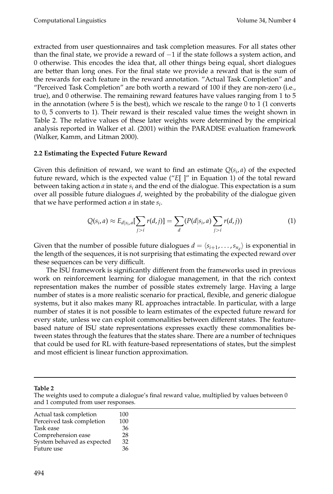extracted from user questionnaires and task completion measures. For all states other than the final state, we provide a reward of  $-1$  if the state follows a system action, and 0 otherwise. This encodes the idea that, all other things being equal, short dialogues are better than long ones. For the final state we provide a reward that is the sum of the rewards for each feature in the reward annotation. "Actual Task Completion" and "Perceived Task Completion" are both worth a reward of 100 if they are non-zero (i.e., true), and 0 otherwise. The remaining reward features have values ranging from 1 to 5 in the annotation (where 5 is the best), which we rescale to the range  $0$  to  $1$  (1 converts to 0, 5 converts to 1). Their reward is their rescaled value times the weight shown in Table 2. The relative values of these later weights were determined by the empirical analysis reported in Walker et al. (2001) within the PARADISE evaluation framework (Walker, Kamm, and Litman 2000).

# **2.2 Estimating the Expected Future Reward**

Given this definition of reward, we want to find an estimate  $Q(s_i, a)$  of the expected future reward, which is the expected value ("*E*[ ]" in Equation 1) of the total reward between taking action  $a$  in state  $s_i$  and the end of the dialogue. This expectation is a sum over all possible future dialogues *d*, weighted by the probability of the dialogue given that we have performed action *a* in state *si*.

$$
Q(s_i, a) \approx E_{d|s_i, a}[\sum_{j>i} r(d, j)] = \sum_{d} (P(d|s_i, a) \sum_{j>i} r(d, j))
$$
\n(1)

Given that the number of possible future dialogues  $d = \langle s_{i+1}, \ldots, s_{n_d} \rangle$  is exponential in the length of the sequences, it is not surprising that estimating the expected reward over these sequences can be very difficult.

The ISU framework is significantly different from the frameworks used in previous work on reinforcement learning for dialogue management, in that the rich context representation makes the number of possible states extremely large. Having a large number of states is a more realistic scenario for practical, flexible, and generic dialogue systems, but it also makes many RL approaches intractable. In particular, with a large number of states it is not possible to learn estimates of the expected future reward for every state, unless we can exploit commonalities between different states. The featurebased nature of ISU state representations expresses exactly these commonalities between states through the features that the states share. There are a number of techniques that could be used for RL with feature-based representations of states, but the simplest and most efficient is linear function approximation.

### **Table 2**

The weights used to compute a dialogue's final reward value, multiplied by values between 0 and 1 computed from user responses.

| Actual task completion     | 100 |
|----------------------------|-----|
| Perceived task completion  | 100 |
| Task ease                  | 36  |
| Comprehension ease         | 28  |
| System behaved as expected | 32  |
| Future use                 | 36  |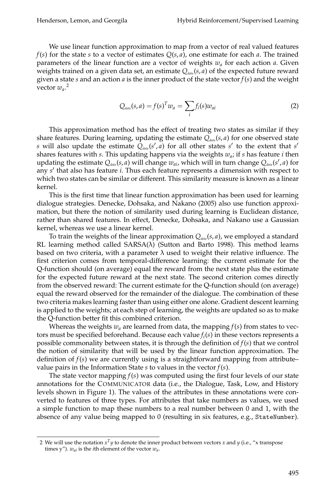We use linear function approximation to map from a vector of real valued features *f*(*s*) for the state *s* to a vector of estimates  $Q(s, a)$ , one estimate for each *a*. The trained parameters of the linear function are a vector of weights  $w<sub>a</sub>$  for each action *a*. Given weights trained on a given data set, an estimate  $Q_{data}(s, a)$  of the expected future reward given a state *s* and an action *a* is the inner product of the state vector *f*(*s*) and the weight vector *wa*. 2

$$
Q_{data}(s,a) = f(s)^{T} w_a = \sum_{i} f_i(s) w_{ai}
$$
\n(2)

This approximation method has the effect of treating two states as similar if they share features. During learning, updating the estimate  $\widetilde{Q}_{data}(s, a)$  for one observed state *s* will also update the estimate  $Q_{data}(s', a)$  for all other states *s'* to the extent that *s'* shares features with *s*. This updating happens via the weights *wa*; if *s* has feature *i* then updating the estimate  $Q_{\text{\tiny{data}}}(s, a)$  will change  $w_{ai}$ , which will in turn change  $Q_{\text{\tiny{data}}}(s', a)$  for any *s*- that also has feature *i*. Thus each feature represents a dimension with respect to which two states can be similar or different. This similarity measure is known as a linear kernel.

This is the first time that linear function approximation has been used for learning dialogue strategies. Denecke, Dohsaka, and Nakano (2005) also use function approximation, but there the notion of similarity used during learning is Euclidean distance, rather than shared features. In effect, Denecke, Dohsaka, and Nakano use a Gaussian kernel, whereas we use a linear kernel.

To train the weights of the linear approximation  $Q_{\text{\tiny data}}(s, a)$ , we employed a standard RL learning method called  $SARSA(\lambda)$  (Sutton and Barto 1998). This method learns based on two criteria, with a parameter  $\lambda$  used to weight their relative influence. The first criterion comes from temporal-difference learning: the current estimate for the Q-function should (on average) equal the reward from the next state plus the estimate for the expected future reward at the next state. The second criterion comes directly from the observed reward: The current estimate for the Q-function should (on average) equal the reward observed for the remainder of the dialogue. The combination of these two criteria makes learning faster than using either one alone. Gradient descent learning is applied to the weights; at each step of learning, the weights are updated so as to make the Q-function better fit this combined criterion.

Whereas the weights  $w_a$  are learned from data, the mapping  $f(s)$  from states to vectors must be specified beforehand. Because each value  $f_i(s)$  in these vectors represents a possible commonality between states, it is through the definition of *f*(*s*) that we control the notion of similarity that will be used by the linear function approximation. The definition of *f*(*s*) we are currently using is a straightforward mapping from attribute– value pairs in the Information State *s* to values in the vector *f*(*s*).

The state vector mapping *f*(*s*) was computed using the first four levels of our state annotations for the COMMUNICATOR data (i.e., the Dialogue, Task, Low, and History levels shown in Figure 1). The values of the attributes in these annotations were converted to features of three types. For attributes that take numbers as values, we used a simple function to map these numbers to a real number between 0 and 1, with the absence of any value being mapped to 0 (resulting in six features, e.g., StateNumber).

<sup>2</sup> We will use the notation  $x^T y$  to denote the inner product between vectors *x* and *y* (i.e., "x transpose times y").  $w_{ai}$  is the *i*th element of the vector  $w_a$ .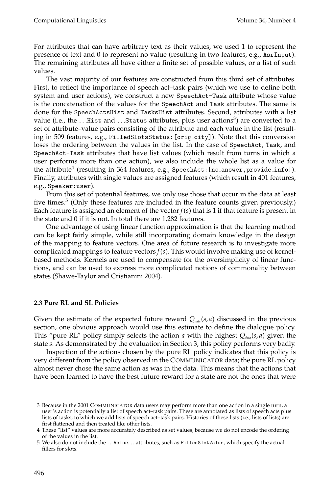For attributes that can have arbitrary text as their values, we used 1 to represent the presence of text and 0 to represent no value (resulting in two features, e.g., AsrInput). The remaining attributes all have either a finite set of possible values, or a list of such values.

The vast majority of our features are constructed from this third set of attributes. First, to reflect the importance of speech act–task pairs (which we use to define both system and user actions), we construct a new SpeechAct-Task attribute whose value is the concatenation of the values for the SpeechAct and Task attributes. The same is done for the SpeechActsHist and TasksHist attributes. Second, attributes with a list value (i.e., the ...Hist and ...Status attributes, plus user actions<sup>3</sup>) are converted to a set of attribute–value pairs consisting of the attribute and each value in the list (resulting in 509 features, e.g., FilledSlotsStatus:[orig city]). Note that this conversion loses the ordering between the values in the list. In the case of SpeechAct, Task, and SpeechAct-Task attributes that have list values (which result from turns in which a user performs more than one action), we also include the whole list as a value for the attribute<sup>4</sup> (resulting in 364 features, e.g., SpeechAct: [no\_answer, provide\_info]). Finally, attributes with single values are assigned features (which result in 401 features, e.g., Speaker:user).

From this set of potential features, we only use those that occur in the data at least five times.<sup>5</sup> (Only these features are included in the feature counts given previously.) Each feature is assigned an element of the vector  $f(s)$  that is 1 if that feature is present in the state and 0 if it is not. In total there are 1,282 features.

One advantage of using linear function approximation is that the learning method can be kept fairly simple, while still incorporating domain knowledge in the design of the mapping to feature vectors. One area of future research is to investigate more complicated mappings to feature vectors  $f(s)$ . This would involve making use of kernelbased methods. Kernels are used to compensate for the oversimplicity of linear functions, and can be used to express more complicated notions of commonality between states (Shawe-Taylor and Cristianini 2004).

### **2.3 Pure RL and SL Policies**

Given the estimate of the expected future reward  $Q_{data}(s, a)$  discussed in the previous section, one obvious approach would use this estimate to define the dialogue policy. This "pure RL" policy simply selects the action *a* with the highest  $Q_{data}(s, a)$  given the state *s*. As demonstrated by the evaluation in Section 3, this policy performs very badly.

Inspection of the actions chosen by the pure RL policy indicates that this policy is very different from the policy observed in the COMMUNICATOR data; the pure RL policy almost never chose the same action as was in the data. This means that the actions that have been learned to have the best future reward for a state are not the ones that were

<sup>3</sup> Because in the 2001 COMMUNICATOR data users may perform more than one action in a single turn, a user's action is potentially a list of speech act–task pairs. These are annotated as lists of speech acts plus lists of tasks, to which we add lists of speech act–task pairs. Histories of these lists (i.e., lists of lists) are first flattened and then treated like other lists.

<sup>4</sup> These "list" values are more accurately described as set values, because we do not encode the ordering of the values in the list.

<sup>5</sup> We also do not include the ...Value... attributes, such as FilledSlotValue, which specify the actual fillers for slots.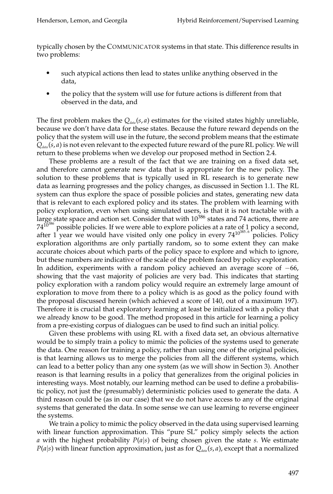typically chosen by the COMMUNICATOR systems in that state. This difference results in two problems:

- such atypical actions then lead to states unlike anything observed in the data,
- the policy that the system will use for future actions is different from that observed in the data, and

The first problem makes the  $Q_{data}(s, a)$  estimates for the visited states highly unreliable, because we don't have data for these states. Because the future reward depends on the policy that the system will use in the future, the second problem means that the estimate  $Q_{data}(s, a)$  is not even relevant to the expected future reward of the pure RL policy. We will return to these problems when we develop our proposed method in Section 2.4.

These problems are a result of the fact that we are training on a fixed data set, and therefore cannot generate new data that is appropriate for the new policy. The solution to these problems that is typically used in RL research is to generate new data as learning progresses and the policy changes, as discussed in Section 1.1. The RL system can thus explore the space of possible policies and states, generating new data that is relevant to each explored policy and its states. The problem with learning with policy exploration, even when using simulated users, is that it is not tractable with a large state space and action set. Consider that with  $10^{386}$  states and 74 actions, there are  $74^{10^{386}}$  possible policies. If we were able to explore policies at a rate of 1 policy a second, after 1 year we would have visited only one policy in every  $74^{10^{385.6}}$  policies. Policy exploration algorithms are only partially random, so to some extent they can make accurate choices about which parts of the policy space to explore and which to ignore, but these numbers are indicative of the scale of the problem faced by policy exploration. In addition, experiments with a random policy achieved an average score of −66, showing that the vast majority of policies are very bad. This indicates that starting policy exploration with a random policy would require an extremely large amount of exploration to move from there to a policy which is as good as the policy found with the proposal discussed herein (which achieved a score of 140, out of a maximum 197). Therefore it is crucial that exploratory learning at least be initialized with a policy that we already know to be good. The method proposed in this article for learning a policy from a pre-existing corpus of dialogues can be used to find such an initial policy.

Given these problems with using RL with a fixed data set, an obvious alternative would be to simply train a policy to mimic the policies of the systems used to generate the data. One reason for training a policy, rather than using one of the original policies, is that learning allows us to merge the policies from all the different systems, which can lead to a better policy than any one system (as we will show in Section 3). Another reason is that learning results in a policy that generalizes from the original policies in interesting ways. Most notably, our learning method can be used to define a probabilistic policy, not just the (presumably) deterministic policies used to generate the data. A third reason could be (as in our case) that we do not have access to any of the original systems that generated the data. In some sense we can use learning to reverse engineer the systems.

We train a policy to mimic the policy observed in the data using supervised learning with linear function approximation. This "pure SL" policy simply selects the action *a* with the highest probability *P*(*a*|*s*) of being chosen given the state *s*. We estimate  $P(a|s)$  with linear function approximation, just as for  $Q_{data}(s, a)$ , except that a normalized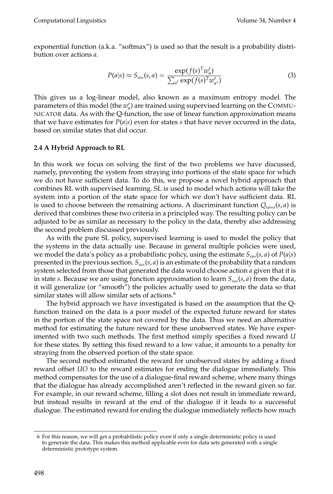exponential function (a.k.a. "softmax") is used so that the result is a probability distribution over actions *a*.

$$
P(a|s) \approx S_{data}(s,a) = \frac{\exp(f(s)^T w'_a)}{\sum_{a'} \exp(f(s)^T w'_{a'})}
$$
(3)

This gives us a log-linear model, also known as a maximum entropy model. The parameters of this model (the  $w'_a$ ) are trained using supervised learning on the  $\texttt{COMMU-}$ NICATOR data. As with the Q-function, the use of linear function approximation means that we have estimates for  $P(a|s)$  even for states *s* that have never occurred in the data, based on similar states that did occur.

### **2.4 A Hybrid Approach to RL**

In this work we focus on solving the first of the two problems we have discussed, namely, preventing the system from straying into portions of the state space for which we do not have sufficient data. To do this, we propose a novel hybrid approach that combines RL with supervised learning. SL is used to model which actions will take the system into a portion of the state space for which we don't have sufficient data. RL is used to choose between the remaining actions. A discriminant function  $Q_{\text{hubrid}}(s, a)$  is derived that combines these two criteria in a principled way. The resulting policy can be adjusted to be as similar as necessary to the policy in the data, thereby also addressing the second problem discussed previously.

As with the pure SL policy, supervised learning is used to model the policy that the systems in the data actually use. Because in general multiple policies were used, we model the data's policy as a probabilistic policy, using the estimate  $S_{data}(s, a)$  of  $P(a|s)$ presented in the previous section.  $S_{data}(s, a)$  is an estimate of the probability that a random system selected from those that generated the data would choose action *a* given that it is in state *s*. Because we are using function approximation to learn  $S_{data}(s, a)$  from the data, it will generalize (or "smooth") the policies actually used to generate the data so that similar states will allow similar sets of actions.<sup>6</sup>

The hybrid approach we have investigated is based on the assumption that the Qfunction trained on the data is a poor model of the expected future reward for states in the portion of the state space not covered by the data. Thus we need an alternative method for estimating the future reward for these unobserved states. We have experimented with two such methods. The first method simply specifies a fixed reward *U* for these states. By setting this fixed reward to a low value, it amounts to a penalty for straying from the observed portion of the state space.

The second method estimated the reward for unobserved states by adding a fixed reward offset *UO* to the reward estimates for ending the dialogue immediately. This method compensates for the use of a dialogue-final reward scheme, where many things that the dialogue has already accomplished aren't reflected in the reward given so far. For example, in our reward scheme, filling a slot does not result in immediate reward, but instead results in reward at the end of the dialogue if it leads to a successful dialogue. The estimated reward for ending the dialogue immediately reflects how much

<sup>6</sup> For this reason, we will get a probabilistic policy even if only a single deterministic policy is used to generate the data. This makes this method applicable even for data sets generated with a single deterministic prototype system.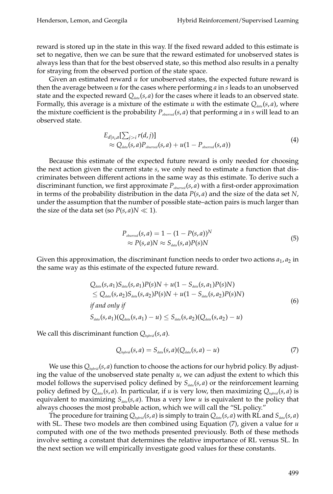reward is stored up in the state in this way. If the fixed reward added to this estimate is set to negative, then we can be sure that the reward estimated for unobserved states is always less than that for the best observed state, so this method also results in a penalty for straying from the observed portion of the state space.

Given an estimated reward *u* for unobserved states, the expected future reward is then the average between *u* for the cases where performing *a* in *s* leads to an unobserved state and the expected reward  $Q_{data}(s, a)$  for the cases where it leads to an observed state. Formally, this average is a mixture of the estimate  $u$  with the estimate  $Q_{data}(s, a)$ , where the mixture coefficient is the probability  $P_{observed}(s, a)$  that performing *a* in *s* will lead to an observed state.

$$
E_{d|s_i,a}[\sum_{j>i} r(d,j)]
$$
  
\n
$$
\approx Q_{data}(s,a)P_{observed}(s,a) + u(1 - P_{observed}(s,a))
$$
\n(4)

Because this estimate of the expected future reward is only needed for choosing the next action given the current state *s*, we only need to estimate a function that discriminates between different actions in the same way as this estimate. To derive such a discriminant function, we first approximate  $P_{observed}(s, a)$  with a first-order approximation in terms of the probability distribution in the data *P*(*s*, *a*) and the size of the data set *N*, under the assumption that the number of possible state–action pairs is much larger than the size of the data set (so  $P(s, a)N \ll 1$ ).

$$
P_{observed}(s, a) = 1 - (1 - P(s, a))^N
$$
  
\n
$$
\approx P(s, a)N \approx S_{data}(s, a)P(s)N
$$
\n(5)

Given this approximation, the discriminant function needs to order two actions  $a_1, a_2$  in the same way as this estimate of the expected future reward.

$$
Q_{data}(s, a_1) S_{data}(s, a_1) P(s) N + u(1 - S_{data}(s, a_1) P(s) N)
$$
  
\n
$$
\leq Q_{data}(s, a_2) S_{data}(s, a_2) P(s) N + u(1 - S_{data}(s, a_2) P(s) N)
$$
  
\nif and only if  
\n
$$
S_{data}(s, a_1) (Q_{data}(s, a_1) - u) \leq S_{data}(s, a_2) (Q_{data}(s, a_2) - u)
$$
\n(6)

We call this discriminant function *Qhybrid* (*s*, *a*).

$$
Q_{\text{hybrid}}(s, a) = S_{\text{data}}(s, a) (Q_{\text{data}}(s, a) - u) \tag{7}
$$

We use this *Qhybrid* (*s*, *a*) function to choose the actions for our hybrid policy. By adjusting the value of the unobserved state penalty *u*, we can adjust the extent to which this model follows the supervised policy defined by  $S_{data}(s, a)$  or the reinforcement learning policy defined by  $Q_{data}(s, a)$ . In particular, if *u* is very low, then maximizing  $Q_{hwhid}(s, a)$  is equivalent to maximizing  $S_{data}(s, a)$ . Thus a very low  $u$  is equivalent to the policy that always chooses the most probable action, which we will call the "SL policy."

The procedure for training  $Q_{hwhid}(s, a)$  is simply to train  $Q_{data}(s, a)$  with RL and  $S_{data}(s, a)$ with SL. These two models are then combined using Equation (7), given a value for *u* computed with one of the two methods presented previously. Both of these methods involve setting a constant that determines the relative importance of RL versus SL. In the next section we will empirically investigate good values for these constants.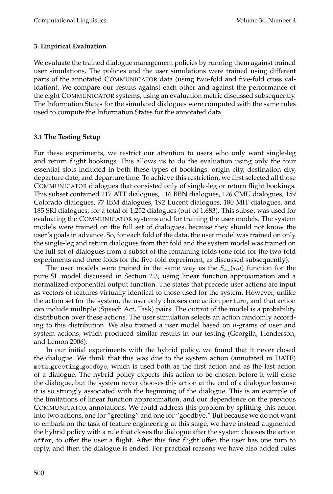# **3. Empirical Evaluation**

We evaluate the trained dialogue management policies by running them against trained user simulations. The policies and the user simulations were trained using different parts of the annotated COMMUNICATOR data (using two-fold and five-fold cross validation). We compare our results against each other and against the performance of the eight COMMUNICATOR systems, using an evaluation metric discussed subsequently. The Information States for the simulated dialogues were computed with the same rules used to compute the Information States for the annotated data.

# **3.1 The Testing Setup**

For these experiments, we restrict our attention to users who only want single-leg and return flight bookings. This allows us to do the evaluation using only the four essential slots included in both these types of bookings: origin city, destination city, departure date, and departure time. To achieve this restriction, we first selected all those COMMUNICATOR dialogues that consisted only of single-leg or return flight bookings. This subset contained 217 ATT dialogues, 116 BBN dialogues, 126 CMU dialogues, 159 Colorado dialogues, 77 IBM dialogues, 192 Lucent dialogues, 180 MIT dialogues, and 185 SRI dialogues, for a total of 1,252 dialogues (out of 1,683). This subset was used for evaluating the COMMUNICATOR systems and for training the user models. The system models were trained on the full set of dialogues, because they should not know the user's goals in advance. So, for each fold of the data, the user model was trained on only the single-leg and return dialogues from that fold and the system model was trained on the full set of dialogues from a subset of the remaining folds (one fold for the two-fold experiments and three folds for the five-fold experiment, as discussed subsequently).

The user models were trained in the same way as the  $S_{data}(s, a)$  function for the pure SL model discussed in Section 2.3, using linear function approximation and a normalized exponential output function. The states that precede user actions are input as vectors of features virtually identical to those used for the system. However, unlike the action set for the system, the user only chooses one action per turn, and that action can include multiple  $\langle$  Speech Act, Task $\rangle$  pairs. The output of the model is a probability distribution over these actions. The user simulation selects an action randomly according to this distribution. We also trained a user model based on *n*-grams of user and system actions, which produced similar results in our testing (Georgila, Henderson, and Lemon 2006).

In our initial experiments with the hybrid policy, we found that it never closed the dialogue. We think that this was due to the system action (annotated in DATE) meta greeting goodbye, which is used both as the first action and as the last action of a dialogue. The hybrid policy expects this action to be chosen before it will close the dialogue, but the system never chooses this action at the end of a dialogue because it is so strongly associated with the beginning of the dialogue. This is an example of the limitations of linear function approximation, and our dependence on the previous COMMUNICATOR annotations. We could address this problem by splitting this action into two actions, one for "greeting" and one for "goodbye." But because we do not want to embark on the task of feature engineering at this stage, we have instead augmented the hybrid policy with a rule that closes the dialogue after the system chooses the action offer, to offer the user a flight. After this first flight offer, the user has one turn to reply, and then the dialogue is ended. For practical reasons we have also added rules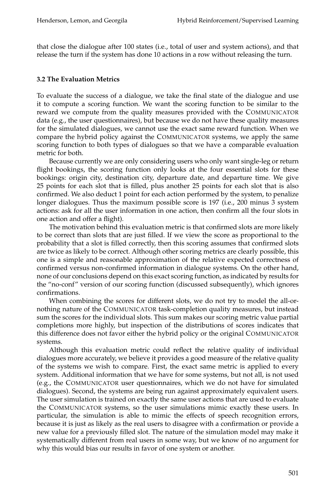that close the dialogue after 100 states (i.e., total of user and system actions), and that release the turn if the system has done 10 actions in a row without releasing the turn.

#### **3.2 The Evaluation Metrics**

To evaluate the success of a dialogue, we take the final state of the dialogue and use it to compute a scoring function. We want the scoring function to be similar to the reward we compute from the quality measures provided with the COMMUNICATOR data (e.g., the user questionnaires), but because we do not have these quality measures for the simulated dialogues, we cannot use the exact same reward function. When we compare the hybrid policy against the COMMUNICATOR systems, we apply the same scoring function to both types of dialogues so that we have a comparable evaluation metric for both.

Because currently we are only considering users who only want single-leg or return flight bookings, the scoring function only looks at the four essential slots for these bookings: origin city, destination city, departure date, and departure time. We give 25 points for each slot that is filled, plus another 25 points for each slot that is also confirmed. We also deduct 1 point for each action performed by the system, to penalize longer dialogues. Thus the maximum possible score is 197 (i.e., 200 minus 3 system actions: ask for all the user information in one action, then confirm all the four slots in one action and offer a flight).

The motivation behind this evaluation metric is that confirmed slots are more likely to be correct than slots that are just filled. If we view the score as proportional to the probability that a slot is filled correctly, then this scoring assumes that confirmed slots are twice as likely to be correct. Although other scoring metrics are clearly possible, this one is a simple and reasonable approximation of the relative expected correctness of confirmed versus non-confirmed information in dialogue systems. On the other hand, none of our conclusions depend on this exact scoring function, as indicated by results for the "no-conf" version of our scoring function (discussed subsequently), which ignores confirmations.

When combining the scores for different slots, we do not try to model the all-ornothing nature of the COMMUNICATOR task-completion quality measures, but instead sum the scores for the individual slots. This sum makes our scoring metric value partial completions more highly, but inspection of the distributions of scores indicates that this difference does not favor either the hybrid policy or the original COMMUNICATOR systems.

Although this evaluation metric could reflect the relative quality of individual dialogues more accurately, we believe it provides a good measure of the relative quality of the systems we wish to compare. First, the exact same metric is applied to every system. Additional information that we have for some systems, but not all, is not used (e.g., the COMMUNICATOR user questionnaires, which we do not have for simulated dialogues). Second, the systems are being run against approximately equivalent users. The user simulation is trained on exactly the same user actions that are used to evaluate the COMMUNICATOR systems, so the user simulations mimic exactly these users. In particular, the simulation is able to mimic the effects of speech recognition errors, because it is just as likely as the real users to disagree with a confirmation or provide a new value for a previously filled slot. The nature of the simulation model may make it systematically different from real users in some way, but we know of no argument for why this would bias our results in favor of one system or another.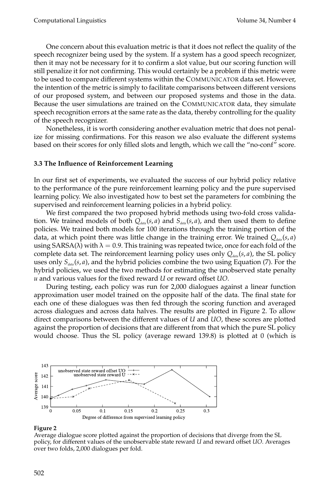One concern about this evaluation metric is that it does not reflect the quality of the speech recognizer being used by the system. If a system has a good speech recognizer, then it may not be necessary for it to confirm a slot value, but our scoring function will still penalize it for not confirming. This would certainly be a problem if this metric were to be used to compare different systems within the COMMUNICATOR data set. However, the intention of the metric is simply to facilitate comparisons between different versions of our proposed system, and between our proposed systems and those in the data. Because the user simulations are trained on the COMMUNICATOR data, they simulate speech recognition errors at the same rate as the data, thereby controlling for the quality of the speech recognizer.

Nonetheless, it is worth considering another evaluation metric that does not penalize for missing confirmations. For this reason we also evaluate the different systems based on their scores for only filled slots and length, which we call the "no-conf" score.

### **3.3 The Influence of Reinforcement Learning**

In our first set of experiments, we evaluated the success of our hybrid policy relative to the performance of the pure reinforcement learning policy and the pure supervised learning policy. We also investigated how to best set the parameters for combining the supervised and reinforcement learning policies in a hybrid policy.

We first compared the two proposed hybrid methods using two-fold cross validation. We trained models of both  $Q_{data}(s, a)$  and  $S_{data}(s, a)$ , and then used them to define policies. We trained both models for 100 iterations through the training portion of the data, at which point there was little change in the training error. We trained  $Q_{data}(s, a)$ using SARSA( $\lambda$ ) with  $\lambda = 0.9$ . This training was repeated twice, once for each fold of the complete data set. The reinforcement learning policy uses only  $Q_{data}(s, a)$ , the SL policy uses only *Sdata* (*s*, *a*), and the hybrid policies combine the two using Equation (7). For the hybrid policies, we used the two methods for estimating the unobserved state penalty *u* and various values for the fixed reward *U* or reward offset *UO*.

During testing, each policy was run for 2,000 dialogues against a linear function approximation user model trained on the opposite half of the data. The final state for each one of these dialogues was then fed through the scoring function and averaged across dialogues and across data halves. The results are plotted in Figure 2. To allow direct comparisons between the different values of *U* and *UO*, these scores are plotted against the proportion of decisions that are different from that which the pure SL policy would choose. Thus the SL policy (average reward 139.8) is plotted at 0 (which is



### **Figure 2**

Average dialogue score plotted against the proportion of decisions that diverge from the SL policy, for different values of the unobservable state reward *U* and reward offset *UO*. Averages over two folds, 2,000 dialogues per fold.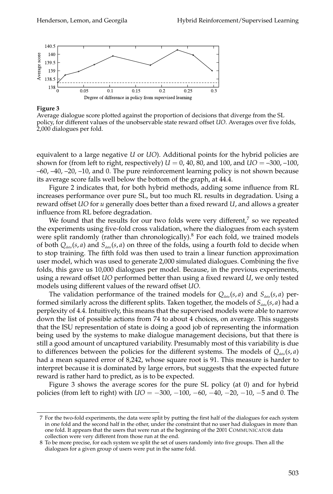

**Figure 3**

Average dialogue score plotted against the proportion of decisions that diverge from the SL policy, for different values of the unobservable state reward offset *UO*. Averages over five folds, 2,000 dialogues per fold.

equivalent to a large negative *U* or *UO*). Additional points for the hybrid policies are shown for (from left to right, respectively)  $U = 0$ , 40, 80, and 100, and  $UO = -300$ , -100, –60, –40, –20, –10, and 0. The pure reinforcement learning policy is not shown because its average score falls well below the bottom of the graph, at 44.4.

Figure 2 indicates that, for both hybrid methods, adding some influence from RL increases performance over pure SL, but too much RL results in degradation. Using a reward offset *UO* for *u* generally does better than a fixed reward *U*, and allows a greater influence from RL before degradation.

We found that the results for our two folds were very different, $^7$  so we repeated the experiments using five-fold cross validation, where the dialogues from each system were split randomly (rather than chronologically). $8$  For each fold, we trained models of both  $Q_{data}(s, a)$  and  $S_{data}(s, a)$  on three of the folds, using a fourth fold to decide when to stop training. The fifth fold was then used to train a linear function approximation user model, which was used to generate 2,000 simulated dialogues. Combining the five folds, this gave us 10,000 dialogues per model. Because, in the previous experiments, using a reward offset *UO* performed better than using a fixed reward *U*, we only tested models using different values of the reward offset *UO*.

The validation performance of the trained models for  $Q_{data}(s, a)$  and  $S_{data}(s, a)$  performed similarly across the different splits. Taken together, the models of  $S_{data}(s, a)$  had a perplexity of 4.4. Intuitively, this means that the supervised models were able to narrow down the list of possible actions from 74 to about 4 choices, on average. This suggests that the ISU representation of state is doing a good job of representing the information being used by the systems to make dialogue management decisions, but that there is still a good amount of uncaptured variability. Presumably most of this variability is due to differences between the policies for the different systems. The models of  $Q_{data}(s, a)$ had a mean squared error of 8,242, whose square root is 91. This measure is harder to interpret because it is dominated by large errors, but suggests that the expected future reward is rather hard to predict, as is to be expected.

Figure 3 shows the average scores for the pure SL policy (at 0) and for hybrid policies (from left to right) with *UO* = −300, −100, −60, −40, −20, −10, −5 and 0. The

<sup>7</sup> For the two-fold experiments, the data were split by putting the first half of the dialogues for each system in one fold and the second half in the other, under the constraint that no user had dialogues in more than one fold. It appears that the users that were run at the beginning of the 2001 COMMUNICATOR data collection were very different from those run at the end.

<sup>8</sup> To be more precise, for each system we split the set of users randomly into five groups. Then all the dialogues for a given group of users were put in the same fold.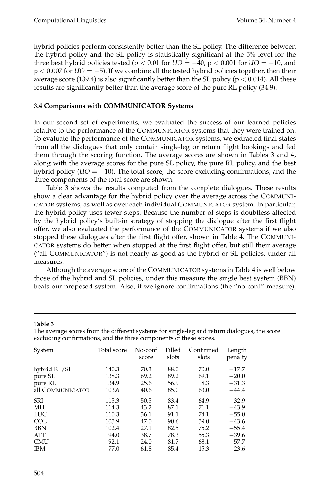hybrid policies perform consistently better than the SL policy. The difference between the hybrid policy and the SL policy is statistically significant at the 5% level for the three best hybrid policies tested ( $p < 0.01$  for  $UO = -40$ ,  $p < 0.001$  for  $UO = -10$ , and p < 0.007 for *UO* = −5). If we combine all the tested hybrid policies together, then their average score (139.4) is also significantly better than the SL policy ( $p < 0.014$ ). All these results are significantly better than the average score of the pure RL policy (34.9).

# **3.4 Comparisons with COMMUNICATOR Systems**

In our second set of experiments, we evaluated the success of our learned policies relative to the performance of the COMMUNICATOR systems that they were trained on. To evaluate the performance of the COMMUNICATOR systems, we extracted final states from all the dialogues that only contain single-leg or return flight bookings and fed them through the scoring function. The average scores are shown in Tables 3 and 4, along with the average scores for the pure SL policy, the pure RL policy, and the best hybrid policy ( $UO = -10$ ). The total score, the score excluding confirmations, and the three components of the total score are shown.

Table 3 shows the results computed from the complete dialogues. These results show a clear advantage for the hybrid policy over the average across the COMMUNI-CATOR systems, as well as over each individual COMMUNICATOR system. In particular, the hybrid policy uses fewer steps. Because the number of steps is doubtless affected by the hybrid policy's built-in strategy of stopping the dialogue after the first flight offer, we also evaluated the performance of the COMMUNICATOR systems if we also stopped these dialogues after the first flight offer, shown in Table 4. The COMMUNI-CATOR systems do better when stopped at the first flight offer, but still their average ("all COMMUNICATOR") is not nearly as good as the hybrid or SL policies, under all measures.

Although the average score of the COMMUNICATOR systems in Table 4 is well below those of the hybrid and SL policies, under this measure the single best system (BBN) beats our proposed system. Also, if we ignore confirmations (the "no-conf" measure),

# **Table 3**

| System           | Total score | No-conf<br>score | Filled<br>slots | Confirmed<br>slots | Length<br>penalty |  |
|------------------|-------------|------------------|-----------------|--------------------|-------------------|--|
| hybrid RL/SL     | 140.3       | 70.3             | 88.0            | 70.0               | $-17.7$           |  |
| pure SL          | 138.3       | 69.2             | 89.2            | 69.1               | $-20.0$           |  |
| pure RL          | 34.9        | 25.6             | 56.9            | 8.3                | $-31.3$           |  |
| all COMMUNICATOR | 103.6       | 40.6             | 85.0            | 63.0               | $-44.4$           |  |
| <b>SRI</b>       | 115.3       | 50.5             | 83.4            | 64.9               | $-32.9$           |  |
| MIT              | 114.3       | 43.2             | 87.1            | 71.1               | $-43.9$           |  |
| <b>LUC</b>       | 110.3       | 36.1             | 91.1            | 74.1               | $-55.0$           |  |
| <b>COL</b>       | 105.9       | 47.0             | 90.6            | 59.0               | $-43.6$           |  |
| <b>BBN</b>       | 102.4       | 27.1             | 82.5            | 75.2               | $-55.4$           |  |
| ATT              | 94.0        | 38.7             | 78.3            | 55.3               | $-39.6$           |  |
| <b>CMU</b>       | 92.1        | 24.0             | 81.7            | 68.1               | $-57.7$           |  |
| <b>IBM</b>       | 77.0        | 61.8             | 85.4            | 15.3               | $-23.6$           |  |

The average scores from the different systems for single-leg and return dialogues, the score excluding confirmations, and the three components of these scores.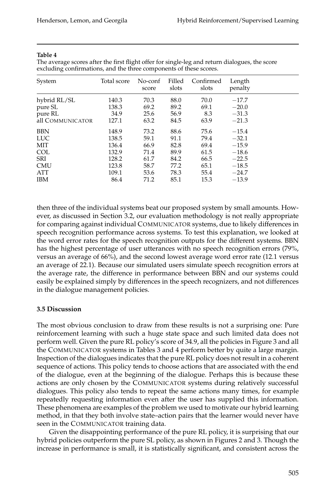| System           | Total score | No-conf<br>score | Filled<br>slots | Confirmed<br>slots | Length<br>penalty |  |
|------------------|-------------|------------------|-----------------|--------------------|-------------------|--|
| hybrid RL/SL     | 140.3       | 70.3             | 88.0            | 70.0               | $-17.7$           |  |
| pure SL          | 138.3       | 69.2             | 89.2            | 69.1               | $-20.0$           |  |
| pure RL          | 34.9        | 25.6             | 56.9            | 8.3                | $-31.3$           |  |
| all COMMUNICATOR | 127.1       | 63.2             | 84.5            | 63.9               | $-21.3$           |  |
| <b>BBN</b>       | 148.9       | 73.2             | 88.6            | 75.6               | $-15.4$           |  |
| <b>LUC</b>       | 138.5       | 59.1             | 91.1            | 79.4               | $-32.1$           |  |
| MIT              | 136.4       | 66.9             | 82.8            | 69.4               | $-15.9$           |  |
| <b>COL</b>       | 132.9       | 71.4             | 89.9            | 61.5               | $-18.6$           |  |
| SRI              | 128.2       | 61.7             | 84.2            | 66.5               | $-22.5$           |  |
| <b>CMU</b>       | 123.8       | 58.7             | 77.2            | 65.1               | $-18.5$           |  |
| ATT              | 109.1       | 53.6             | 78.3            | 55.4               | $-24.7$           |  |
| <b>IBM</b>       | 86.4        | 71.2             | 85.1            | 15.3               | $-13.9$           |  |

#### **Table 4**

The average scores after the first flight offer for single-leg and return dialogues, the score excluding confirmations, and the three components of these scores.

then three of the individual systems beat our proposed system by small amounts. However, as discussed in Section 3.2, our evaluation methodology is not really appropriate for comparing against individual COMMUNICATOR systems, due to likely differences in speech recognition performance across systems. To test this explanation, we looked at the word error rates for the speech recognition outputs for the different systems. BBN has the highest percentage of user utterances with no speech recognition errors (79%, versus an average of 66%), and the second lowest average word error rate (12.1 versus an average of 22.1). Because our simulated users simulate speech recognition errors at the average rate, the difference in performance between BBN and our systems could easily be explained simply by differences in the speech recognizers, and not differences in the dialogue management policies.

### **3.5 Discussion**

The most obvious conclusion to draw from these results is not a surprising one: Pure reinforcement learning with such a huge state space and such limited data does not perform well. Given the pure RL policy's score of 34.9, all the policies in Figure 3 and all the COMMUNICATOR systems in Tables 3 and 4 perform better by quite a large margin. Inspection of the dialogues indicates that the pure RL policy does not result in a coherent sequence of actions. This policy tends to choose actions that are associated with the end of the dialogue, even at the beginning of the dialogue. Perhaps this is because these actions are only chosen by the COMMUNICATOR systems during relatively successful dialogues. This policy also tends to repeat the same actions many times, for example repeatedly requesting information even after the user has supplied this information. These phenomena are examples of the problem we used to motivate our hybrid learning method, in that they both involve state–action pairs that the learner would never have seen in the COMMUNICATOR training data.

Given the disappointing performance of the pure RL policy, it is surprising that our hybrid policies outperform the pure SL policy, as shown in Figures 2 and 3. Though the increase in performance is small, it is statistically significant, and consistent across the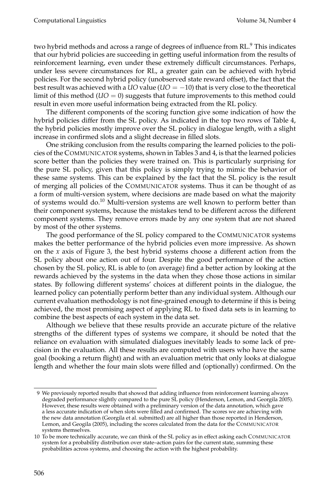two hybrid methods and across a range of degrees of influence from RL.<sup>9</sup> This indicates that our hybrid policies are succeeding in getting useful information from the results of reinforcement learning, even under these extremely difficult circumstances. Perhaps, under less severe circumstances for RL, a greater gain can be achieved with hybrid policies. For the second hybrid policy (unobserved state reward offset), the fact that the best result was achieved with a  $UO$  value ( $UO = -10$ ) that is very close to the theoretical limit of this method (*UO* = 0) suggests that future improvements to this method could result in even more useful information being extracted from the RL policy.

The different components of the scoring function give some indication of how the hybrid policies differ from the SL policy. As indicated in the top two rows of Table 4, the hybrid policies mostly improve over the SL policy in dialogue length, with a slight increase in confirmed slots and a slight decrease in filled slots.

One striking conclusion from the results comparing the learned policies to the policies of the COMMUNICATOR systems, shown in Tables 3 and 4, is that the learned policies score better than the policies they were trained on. This is particularly surprising for the pure SL policy, given that this policy is simply trying to mimic the behavior of these same systems. This can be explained by the fact that the SL policy is the result of merging all policies of the COMMUNICATOR systems. Thus it can be thought of as a form of multi-version system, where decisions are made based on what the majority of systems would do.<sup>10</sup> Multi-version systems are well known to perform better than their component systems, because the mistakes tend to be different across the different component systems. They remove errors made by any one system that are not shared by most of the other systems.

The good performance of the SL policy compared to the COMMUNICATOR systems makes the better performance of the hybrid policies even more impressive. As shown on the *x* axis of Figure 3, the best hybrid systems choose a different action from the SL policy about one action out of four. Despite the good performance of the action chosen by the SL policy, RL is able to (on average) find a better action by looking at the rewards achieved by the systems in the data when they chose those actions in similar states. By following different systems' choices at different points in the dialogue, the learned policy can potentially perform better than any individual system. Although our current evaluation methodology is not fine-grained enough to determine if this is being achieved, the most promising aspect of applying RL to fixed data sets is in learning to combine the best aspects of each system in the data set.

Although we believe that these results provide an accurate picture of the relative strengths of the different types of systems we compare, it should be noted that the reliance on evaluation with simulated dialogues inevitably leads to some lack of precision in the evaluation. All these results are computed with users who have the same goal (booking a return flight) and with an evaluation metric that only looks at dialogue length and whether the four main slots were filled and (optionally) confirmed. On the

<sup>9</sup> We previously reported results that showed that adding influence from reinforcement learning always degraded performance slightly compared to the pure SL policy (Henderson, Lemon, and Georgila 2005). However, these results were obtained with a preliminary version of the data annotation, which gave a less accurate indication of when slots were filled and confirmed. The scores we are achieving with the new data annotation (Georgila et al. submitted) are all higher than those reported in Henderson, Lemon, and Geogila (2005), including the scores calculated from the data for the COMMUNICATOR systems themselves.

<sup>10</sup> To be more technically accurate, we can think of the SL policy as in effect asking each COMMUNICATOR system for a probability distribution over state–action pairs for the current state, summing these probabilities across systems, and choosing the action with the highest probability.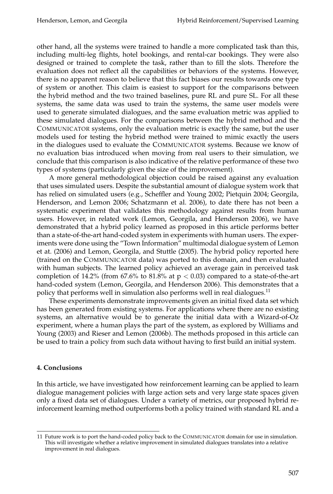other hand, all the systems were trained to handle a more complicated task than this, including multi-leg flights, hotel bookings, and rental-car bookings. They were also designed or trained to complete the task, rather than to fill the slots. Therefore the evaluation does not reflect all the capabilities or behaviors of the systems. However, there is no apparent reason to believe that this fact biases our results towards one type of system or another. This claim is easiest to support for the comparisons between the hybrid method and the two trained baselines, pure RL and pure SL. For all these systems, the same data was used to train the systems, the same user models were used to generate simulated dialogues, and the same evaluation metric was applied to these simulated dialogues. For the comparisons between the hybrid method and the COMMUNICATOR systems, only the evaluation metric is exactly the same, but the user models used for testing the hybrid method were trained to mimic exactly the users in the dialogues used to evaluate the COMMUNICATOR systems. Because we know of no evaluation bias introduced when moving from real users to their simulation, we conclude that this comparison is also indicative of the relative performance of these two types of systems (particularly given the size of the improvement).

A more general methodological objection could be raised against any evaluation that uses simulated users. Despite the substantial amount of dialogue system work that has relied on simulated users (e.g., Scheffler and Young 2002; Pietquin 2004; Georgila, Henderson, and Lemon 2006; Schatzmann et al. 2006), to date there has not been a systematic experiment that validates this methodology against results from human users. However, in related work (Lemon, Georgila, and Henderson 2006), we have demonstrated that a hybrid policy learned as proposed in this article performs better than a state-of-the-art hand-coded system in experiments with human users. The experiments were done using the "Town Information" multimodal dialogue system of Lemon et at. (2006) and Lemon, Georgila, and Stuttle (2005). The hybrid policy reported here (trained on the COMMUNICATOR data) was ported to this domain, and then evaluated with human subjects. The learned policy achieved an average gain in perceived task completion of 14.2% (from 67.6% to 81.8% at  $p < 0.03$ ) compared to a state-of-the-art hand-coded system (Lemon, Georgila, and Henderson 2006). This demonstrates that a policy that performs well in simulation also performs well in real dialogues.<sup>11</sup>

These experiments demonstrate improvements given an initial fixed data set which has been generated from existing systems. For applications where there are no existing systems, an alternative would be to generate the initial data with a Wizard-of-Oz experiment, where a human plays the part of the system, as explored by Williams and Young (2003) and Rieser and Lemon (2006b). The methods proposed in this article can be used to train a policy from such data without having to first build an initial system.

#### **4. Conclusions**

In this article, we have investigated how reinforcement learning can be applied to learn dialogue management policies with large action sets and very large state spaces given only a fixed data set of dialogues. Under a variety of metrics, our proposed hybrid reinforcement learning method outperforms both a policy trained with standard RL and a

<sup>11</sup> Future work is to port the hand-coded policy back to the COMMUNICATOR domain for use in simulation. This will investigate whether a relative improvement in simulated dialogues translates into a relative improvement in real dialogues.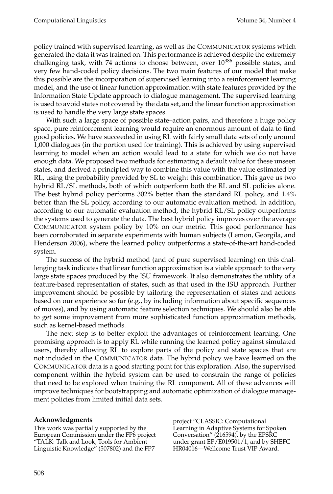policy trained with supervised learning, as well as the COMMUNICATOR systems which generated the data it was trained on. This performance is achieved despite the extremely challenging task, with 74 actions to choose between, over  $10^{386}$  possible states, and very few hand-coded policy decisions. The two main features of our model that make this possible are the incorporation of supervised learning into a reinforcement learning model, and the use of linear function approximation with state features provided by the Information State Update approach to dialogue management. The supervised learning is used to avoid states not covered by the data set, and the linear function approximation is used to handle the very large state spaces.

With such a large space of possible state–action pairs, and therefore a huge policy space, pure reinforcement learning would require an enormous amount of data to find good policies. We have succeeded in using RL with fairly small data sets of only around 1,000 dialogues (in the portion used for training). This is achieved by using supervised learning to model when an action would lead to a state for which we do not have enough data. We proposed two methods for estimating a default value for these unseen states, and derived a principled way to combine this value with the value estimated by RL, using the probability provided by SL to weight this combination. This gave us two hybrid RL/SL methods, both of which outperform both the RL and SL policies alone. The best hybrid policy performs 302% better than the standard RL policy, and 1.4% better than the SL policy, according to our automatic evaluation method. In addition, according to our automatic evaluation method, the hybrid RL/SL policy outperforms the systems used to generate the data. The best hybrid policy improves over the average COMMUNICATOR system policy by 10% on our metric. This good performance has been corroborated in separate experiments with human subjects (Lemon, Georgila, and Henderson 2006), where the learned policy outperforms a state-of-the-art hand-coded system.

The success of the hybrid method (and of pure supervised learning) on this challenging task indicates that linear function approximation is a viable approach to the very large state spaces produced by the ISU framework. It also demonstrates the utility of a feature-based representation of states, such as that used in the ISU approach. Further improvement should be possible by tailoring the representation of states and actions based on our experience so far (e.g., by including information about specific sequences of moves), and by using automatic feature selection techniques. We should also be able to get some improvement from more sophisticated function approximation methods, such as kernel-based methods.

The next step is to better exploit the advantages of reinforcement learning. One promising approach is to apply RL while running the learned policy against simulated users, thereby allowing RL to explore parts of the policy and state spaces that are not included in the COMMUNICATOR data. The hybrid policy we have learned on the COMMUNICATOR data is a good starting point for this exploration. Also, the supervised component within the hybrid system can be used to constrain the range of policies that need to be explored when training the RL component. All of these advances will improve techniques for bootstrapping and automatic optimization of dialogue management policies from limited initial data sets.

### **Acknowledgments**

This work was partially supported by the European Commission under the FP6 project "TALK: Talk and Look, Tools for Ambient Linguistic Knowledge" (507802) and the FP7

project "CLASSIC: Computational Learning in Adaptive Systems for Spoken Conversation" (216594), by the EPSRC under grant EP/E019501/1, and by SHEFC HR04016—Wellcome Trust VIP Award.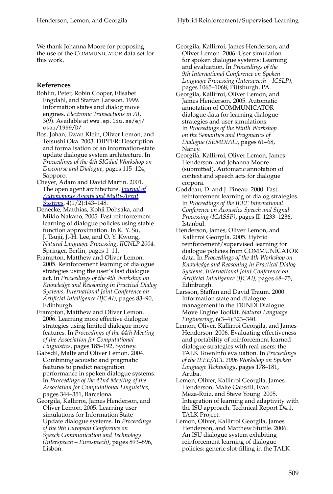Henderson, Lemon, and Georgila Hybrid Reinforcement/Supervised Learning

We thank Johanna Moore for proposing the use of the COMMUNICATOR data set for this work.

#### **References**

- Bohlin, Peter, Robin Cooper, Elisabet Engdahl, and Staffan Larsson. 1999. Information states and dialog move engines. *Electronic Transactions in AI*, 3(9). Available at www.ep.liu.se/ej/ etai/1999/D/.
- Bos, Johan, Ewan Klein, Oliver Lemon, and Tetsushi Oka. 2003. DIPPER: Description and formalisation of an information-state update dialogue system architecture. In *Proceedings of the 4th SIGdial Workshop on Discourse and Dialogue*, pages 115–124, Sapporo.
- Cheyer, Adam and David Martin. 2001. The open agent architecture. *Journal of Autonomous Agents and Multi-Agent Systems*, 4(1/2):143–148.
- Denecke, Matthias, Kohji Dohsaka, and Mikio Nakano, 2005. Fast reinforcement learning of dialogue policies using stable function approximation. In K. Y. Su, J. Tsujii, J.-H. Lee, and O. Y. Kwong, *Natural Language Processing, IJCNLP 2004.* Springer, Berlin, pages 1–11.
- Frampton, Matthew and Oliver Lemon. 2005. Reinforcement learning of dialogue strategies using the user's last dialogue act. In *Proceedings of the 4th Workshop on Knowledge and Reasoning in Practical Dialog Systems, International Joint Conference on Artificial Intelligence (IJCAI)*, pages 83–90, Edinburgh.
- Frampton, Matthew and Oliver Lemon. 2006. Learning more effective dialogue strategies using limited dialogue move features. In *Proceedings of the 44th Meeting of the Association for Computational Linguistics*, pages 185–192, Sydney.
- Gabsdil, Malte and Oliver Lemon. 2004. Combining acoustic and pragmatic features to predict recognition performance in spoken dialogue systems. In *Proceedings of the 42nd Meeting of the Association for Computational Linguistics*, pages 344–351, Barcelona.
- Georgila, Kallirroi, James Henderson, and Oliver Lemon. 2005. Learning user simulations for Information State Update dialogue systems. In *Proceedings of the 9th European Conference on Speech Communication and Technology (Interspeech – Eurospeech)*, pages 893–896, Lisbon.
- Georgila, Kallirroi, James Henderson, and Oliver Lemon. 2006. User simulation for spoken dialogue systems: Learning and evaluation. In *Proceedings of the 9th International Conference on Spoken Language Processing (Interspeech – ICSLP)*, pages 1065–1068, Pittsburgh, PA.
- Georgila, Kallirroi, Oliver Lemon, and James Henderson. 2005. Automatic annotation of COMMUNICATOR dialogue data for learning dialogue strategies and user simulations. In *Proceedings of the Ninth Workshop on the Semantics and Pragmatics of Dialogue (SEMDIAL)*, pages 61–68, Nancy.
- Georgila, Kallirroi, Oliver Lemon, James Henderson, and Johanna Moore. (submitted). Automatic annotation of context and speech acts for dialogue corpora.
- Goddeau, D. and J. Pineau. 2000. Fast reinforcement learning of dialog strategies. In *Proceedings of the IEEE International Conference on Acoustics Speech and Signal Processing (ICASSP)*, pages II–1233–1236, Istanbul.
- Henderson, James, Oliver Lemon, and Kallirroi Georgila. 2005. Hybrid reinforcement/supervised learning for dialogue policies from COMMUNICATOR data. In *Proceedings of the 4th Workshop on Knowledge and Reasoning in Practical Dialog Systems, International Joint Conference on Artificial Intelligence (IJCAI)*, pages 68–75, Edinburgh.
- Larsson, Staffan and David Traum. 2000. Information state and dialogue management in the TRINDI Dialogue Move Engine Toolkit. *Natural Language Engineering*, 6(3–4):323–340.
- Lemon, Oliver, Kallirroi Georgila, and James Henderson. 2006. Evaluating effectiveness and portability of reinforcement learned dialogue strategies with real users: the TALK TownInfo evaluation. In *Proceedings of the IEEE/ACL 2006 Workshop on Spoken Language Technology*, pages 178–181, Aruba.
- Lemon, Oliver, Kallirroi Georgila, James Henderson, Malte Gabsdil, Ivan Meza-Ruiz, and Steve Young. 2005. Integration of learning and adaptivity with the ISU approach. Technical Report D4.1, TALK Project.
- Lemon, Oliver, Kallirroi Georgila, James Henderson, and Matthew Stuttle. 2006. An ISU dialogue system exhibiting reinforcement learning of dialogue policies: generic slot-filling in the TALK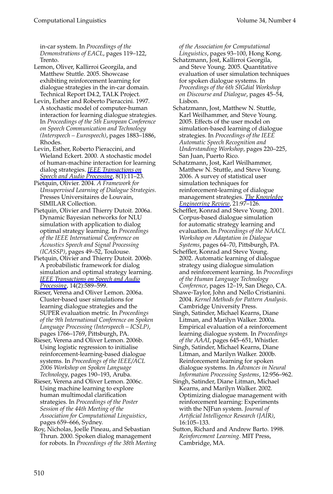#### Computational Linguistics Volume 34, Number 4

in-car system. In *Proceedings of the Demonstrations of EACL*, pages 119–122, Trento.

- Lemon, Oliver, Kallirroi Georgila, and Matthew Stuttle. 2005. Showcase exhibiting reinforcement learning for dialogue strategies in the in-car domain. Technical Report D4.2, TALK Project.
- Levin, Esther and Roberto Pieraccini. 1997. A stochastic model of computer-human interaction for learning dialogue strategies. In *Proceedings of the 5th European Conference on Speech Communication and Technology (Interspeech – Eurospeech)*, pages 1883–1886, Rhodes.
- Levin, Esther, Roberto Pieraccini, and Wieland Eckert. 2000. A stochastic model of human-machine interaction for learning dialog strategies. *IEEE Transactions on Speech and Audio Processing*, 8(1):11–23.
- Pietquin, Olivier. 2004. *A Framework for Unsupervised Learning of Dialogue Strategies*. Presses Universitaires de Louvain, SIMILAR Collection.
- Pietquin, Olivier and Thierry Dutoit. 2006a. Dynamic Bayesian networks for NLU simulation with application to dialog optimal strategy learning. In *Proceedings of the IEEE International Conference on Acoustics Speech and Signal Processing (ICASSP)*, pages 49–52, Toulouse.
- Pietquin, Olivier and Thierry Dutoit. 2006b. A probabilistic framework for dialog simulation and optimal strategy learning. *IEEE Transactions on Speech and Audio Processing*, 14(2):589–599.
- Rieser, Verena and Oliver Lemon. 2006a. Cluster-based user simulations for learning dialogue strategies and the SUPER evaluation metric. In *Proceedings of the 9th International Conference on Spoken Language Processing (Interspeech – ICSLP)*, pages 1766–1769, Pittsburgh, PA.
- Rieser, Verena and Oliver Lemon. 2006b. Using logistic regression to initialise reinforcement-learning-based dialogue systems. In *Proceedings of the IEEE/ACL 2006 Workshop on Spoken Language Technology*, pages 190–193, Aruba.

Rieser, Verena and Oliver Lemon. 2006c. Using machine learning to explore human multimodal clarification strategies. In *Proceedings of the Poster Session of the 44th Meeting of the Association for Computational Linguistics*, pages 659–666, Sydney.

Roy, Nicholas, Joelle Pineau, and Sebastian Thrun. 2000. Spoken dialog management for robots. In *Proceedings of the 38th Meeting* *of the Association for Computational Linguistics*, pages 93–100, Hong Kong.

- Schatzmann, Jost, Kallirroi Georgila, and Steve Young. 2005. Quantitative evaluation of user simulation techniques for spoken dialogue systems. In *Proceedings of the 6th SIGdial Workshop on Discourse and Dialogue*, pages 45–54, Lisbon.
- Schatzmann, Jost, Matthew N. Stuttle, Karl Weilhammer, and Steve Young. 2005. Effects of the user model on simulation-based learning of dialogue strategies. In *Proceedings of the IEEE Automatic Speech Recognition and Understanding Workshop*, pages 220–225, San Juan, Puerto Rico.
- Schatzmann, Jost, Karl Weilhammer, Matthew N. Stuttle, and Steve Young. 2006. A survey of statistical user simulation techniques for reinforcement-learning of dialogue management strategies. *The Knowledge Engineering Review*, 21:97–126.
- Scheffler, Konrad and Steve Young. 2001. Corpus-based dialogue simulation for automatic strategy learning and evaluation. In *Proceedings of the NAACL Workshop on Adaptation in Dialogue Systems*, pages 64–70, Pittsburgh, PA.
- Scheffler, Konrad and Steve Young. 2002. Automatic learning of dialogue strategy using dialogue simulation and reinforcement learning. In *Proceedings of the Human Language Technology Conference*, pages 12–19, San Diego, CA.
- Shawe-Taylor, John and Nello Cristianini. 2004. *Kernel Methods for Pattern Analysis*. Cambridge University Press.
- Singh, Satinder, Michael Kearns, Diane Litman, and Marilyn Walker. 2000a. Empirical evaluation of a reinforcement learning dialogue system. In *Proceedings of the AAAI*, pages 645–651, Whistler.
- Singh, Satinder, Michael Kearns, Diane Litman, and Marilyn Walker. 2000b. Reinforcement learning for spoken dialogue systems. In *Advances in Neural Information Processing Systems*, 12:956–962.
- Singh, Satinder, Diane Litman, Michael Kearns, and Marilyn Walker. 2002. Optimizing dialogue management with reinforcement learning: Experiments with the NJFun system. *Journal of Artificial Intelligence Research (JAIR)*, 16:105–133.
- Sutton, Richard and Andrew Barto. 1998. *Reinforcement Learning*. MIT Press, Cambridge, MA.